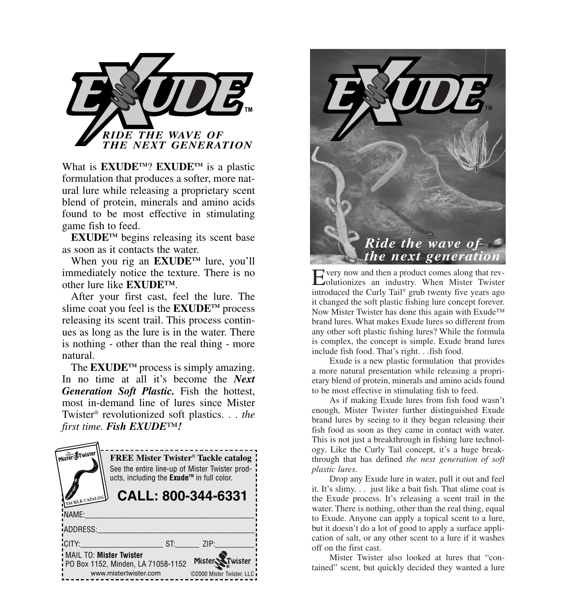

What is **EXUDETM**? **EXUDETM** is a plastic formulation that produces a softer, more natural lure while releasing a proprietary scent blend of protein, minerals and amino acids found to be most effective in stimulating game fish to feed.

**EXUDETM** begins releasing its scent base as soon as it contacts the water.

When you rig an **EXUDETM** lure, you'll immediately notice the texture. There is no other lure like **EXUDE™**.

After your first cast, feel the lure. The slime coat you feel is the **EXUDE<sup>TM</sup>** process releasing its scent trail. This process continues as long as the lure is in the water. There is nothing - other than the real thing - more natural.

The **EXUDETM** process is simply amazing. In no time at all it's become the *Next Generation Soft Plastic.* Fish the hottest, most in-demand line of lures since Mister Twister® revolutionized soft plastics. . . *the first time. Fish EXUDE™!*





Every now and then a product comes along that rev-olutionizes an industry. When Mister Twister introduced the Curly Tail® grub twenty five years ago it changed the soft plastic fishing lure concept forever. Now Mister Twister has done this again with Exude™ brand lures. What makes Exude lures so different from any other soft plastic fishing lures? While the formula is complex, the concept is simple. Exude brand lures include fish food. That's right. . .fish food.

Exude is a new plastic formulation that provides a more natural presentation while releasing a proprietary blend of protein, minerals and amino acids found to be most effective in stimulating fish to feed.

As if making Exude lures from fish food wasn't enough, Mister Twister further distinguished Exude brand lures by seeing to it they began releasing their fish food as soon as they came in contact with water. This is not just a breakthrough in fishing lure technology. Like the Curly Tail concept, it's a huge breakthrough that has defined *the next generation of soft plastic lures.*

Drop any Exude lure in water, pull it out and feel it. It's slimy. . . just like a bait fish. That slime coat is the Exude process. It's releasing a scent trail in the water. There is nothing, other than the real thing, equal to Exude. Anyone can apply a topical scent to a lure, but it doesn't do a lot of good to apply a surface application of salt, or any other scent to a lure if it washes off on the first cast.

Mister Twister also looked at lures that "contained" scent, but quickly decided they wanted a lure